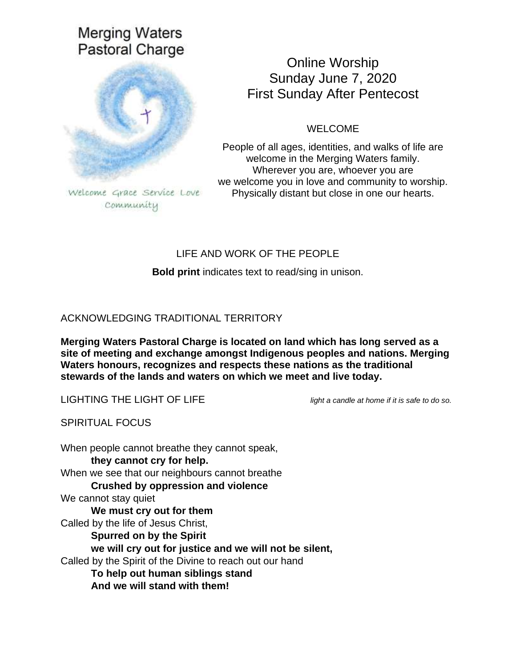# **Merging Waters** Pastoral Charge



community

# Online Worship Sunday June 7, 2020 First Sunday After Pentecost

WELCOME

People of all ages, identities, and walks of life are welcome in the Merging Waters family. Wherever you are, whoever you are we welcome you in love and community to worship. Physically distant but close in one our hearts.

# LIFE AND WORK OF THE PEOPLE

**Bold print** indicates text to read/sing in unison.

# ACKNOWLEDGING TRADITIONAL TERRITORY

**Merging Waters Pastoral Charge is located on land which has long served as a site of meeting and exchange amongst Indigenous peoples and nations. Merging Waters honours, recognizes and respects these nations as the traditional stewards of the lands and waters on which we meet and live today.**

LIGHTING THE LIGHT OF LIFE *light a candle at home if it is safe to do so.*

SPIRITUAL FOCUS

When people cannot breathe they cannot speak, **they cannot cry for help.** When we see that our neighbours cannot breathe **Crushed by oppression and violence** We cannot stay quiet **We must cry out for them** Called by the life of Jesus Christ, **Spurred on by the Spirit we will cry out for justice and we will not be silent,** Called by the Spirit of the Divine to reach out our hand **To help out human siblings stand And we will stand with them!**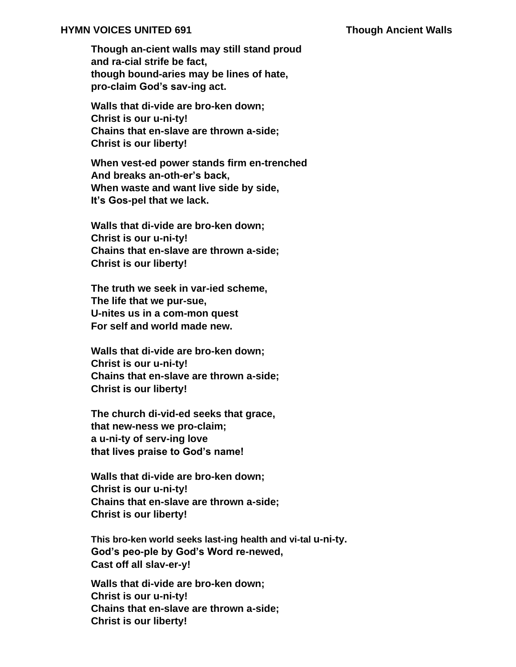### **HYMN VOICES UNITED 691 Though Ancient Walls**

**Though an-cient walls may still stand proud and ra-cial strife be fact, though bound-aries may be lines of hate, pro-claim God's sav-ing act.**

**Walls that di-vide are bro-ken down; Christ is our u-ni-ty! Chains that en-slave are thrown a-side; Christ is our liberty!**

**When vest-ed power stands firm en-trenched And breaks an-oth-er's back, When waste and want live side by side, It's Gos-pel that we lack.**

**Walls that di-vide are bro-ken down; Christ is our u-ni-ty! Chains that en-slave are thrown a-side; Christ is our liberty!**

**The truth we seek in var-ied scheme, The life that we pur-sue, U-nites us in a com-mon quest For self and world made new.**

**Walls that di-vide are bro-ken down; Christ is our u-ni-ty! Chains that en-slave are thrown a-side; Christ is our liberty!**

**The church di-vid-ed seeks that grace, that new-ness we pro-claim; a u-ni-ty of serv-ing love that lives praise to God's name!**

**Walls that di-vide are bro-ken down; Christ is our u-ni-ty! Chains that en-slave are thrown a-side; Christ is our liberty!**

**This bro-ken world seeks last-ing health and vi-tal u-ni-ty. God's peo-ple by God's Word re-newed, Cast off all slav-er-y!**

**Walls that di-vide are bro-ken down; Christ is our u-ni-ty! Chains that en-slave are thrown a-side; Christ is our liberty!**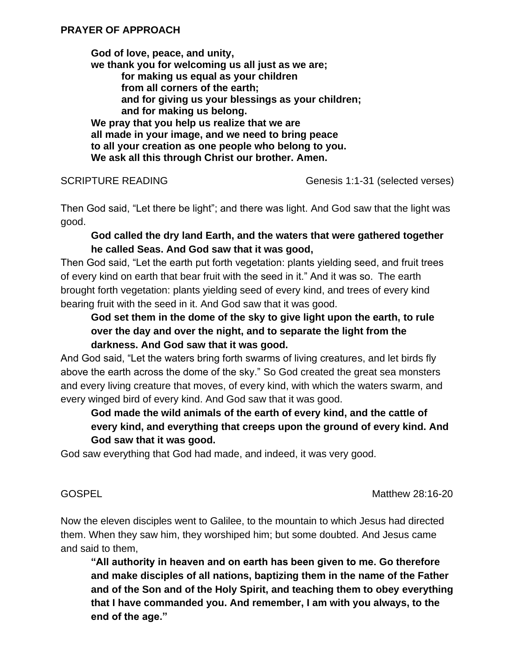**God of love, peace, and unity, we thank you for welcoming us all just as we are; for making us equal as your children from all corners of the earth; and for giving us your blessings as your children; and for making us belong. We pray that you help us realize that we are all made in your image, and we need to bring peace to all your creation as one people who belong to you. We ask all this through Christ our brother. Amen.**

SCRIPTURE READING Genesis 1:1-31 (selected verses)

Then God said, "Let there be light"; and there was light. And God saw that the light was good.

## **God called the dry land Earth, and the waters that were gathered together he called Seas. And God saw that it was good,**

Then God said, "Let the earth put forth vegetation: plants yielding seed, and fruit trees of every kind on earth that bear fruit with the seed in it." And it was so. The earth brought forth vegetation: plants yielding seed of every kind, and trees of every kind bearing fruit with the seed in it. And God saw that it was good.

# **God set them in the dome of the sky to give light upon the earth, to rule over the day and over the night, and to separate the light from the darkness. And God saw that it was good.**

And God said, "Let the waters bring forth swarms of living creatures, and let birds fly above the earth across the dome of the sky." So God created the great sea monsters and every living creature that moves, of every kind, with which the waters swarm, and every winged bird of every kind. And God saw that it was good.

# **God made the wild animals of the earth of every kind, and the cattle of every kind, and everything that creeps upon the ground of every kind. And God saw that it was good.**

God saw everything that God had made, and indeed, it was very good.

GOSPEL **GOSPEL GOSPEL** 

Now the eleven disciples went to Galilee, to the mountain to which Jesus had directed them. When they saw him, they worshiped him; but some doubted. And Jesus came and said to them,

**"All authority in heaven and on earth has been given to me. Go therefore and make disciples of all nations, baptizing them in the name of the Father and of the Son and of the Holy Spirit, and teaching them to obey everything that I have commanded you. And remember, I am with you always, to the end of the age."**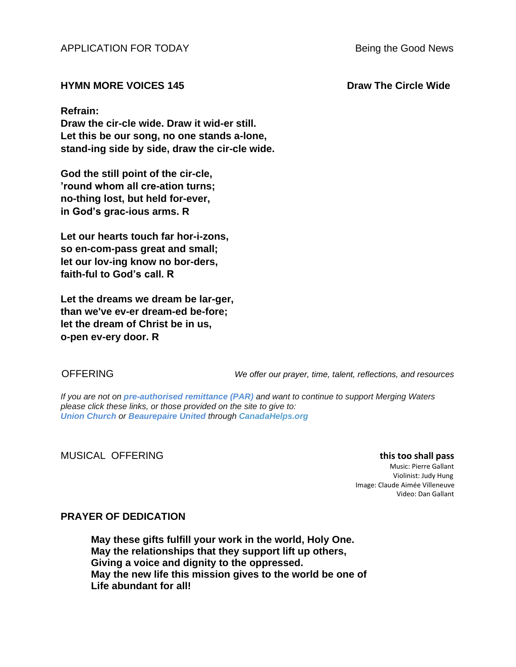APPLICATION FOR TODAY Being the Good News

### **HYMN MORE VOICES 145 Draw The Circle Wide**

### **Refrain:**

**Draw the cir-cle wide. Draw it wid-er still. Let this be our song, no one stands a-lone, stand-ing side by side, draw the cir-cle wide.**

**God the still point of the cir-cle, 'round whom all cre-ation turns; no-thing lost, but held for-ever, in God's grac-ious arms. R**

**Let our hearts touch far hor-i-zons, so en-com-pass great and small; let our lov-ing know no bor-ders, faith-ful to God's call. R**

**Let the dreams we dream be lar-ger, than we've ev-er dream-ed be-fore; let the dream of Christ be in us, o-pen ev-ery door. R**

OFFERING *We offer our prayer, time, talent, reflections, and resources*

*If you are not on pre-authorised [remittance \(PAR\)](http://mergingwaters.ca/mt-content/uploads/2020/03/form_par-authorization.pdf) and want to continue to support Merging Waters please click these links, or those provided on the site to give to: [Union Church](https://www.canadahelps.org/en/charities/union-church-ste-anne-de-bellevue/) or [Beaurepaire United](https://www.canadahelps.org/en/charities/beaurepaire-united-church/) through [CanadaHelps.org](http://www.canadahelps.org/)* 

### MUSICAL OFFERING **this too shall pass**

Music: Pierre Gallant Violinist: Judy Hung Image: Claude Aimée Villeneuve Video: Dan Gallant

### **PRAYER OF DEDICATION**

**May these gifts fulfill your work in the world, Holy One. May the relationships that they support lift up others, Giving a voice and dignity to the oppressed. May the new life this mission gives to the world be one of Life abundant for all!**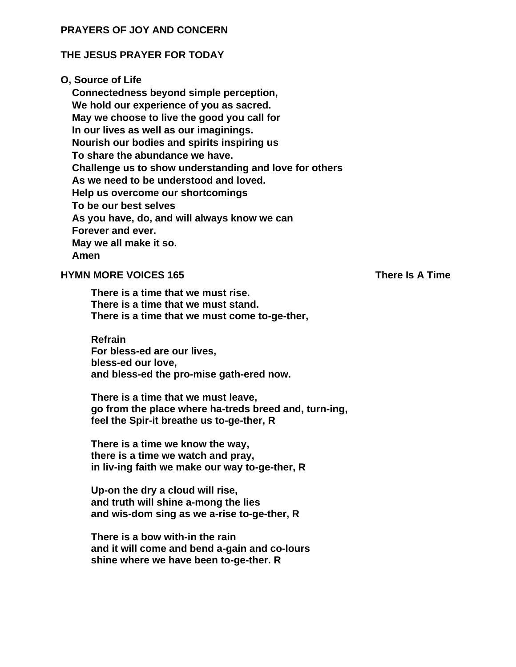### **PRAYERS OF JOY AND CONCERN**

### **THE JESUS PRAYER FOR TODAY**

### **O, Source of Life**

**Connectedness beyond simple perception, We hold our experience of you as sacred. May we choose to live the good you call for In our lives as well as our imaginings. Nourish our bodies and spirits inspiring us To share the abundance we have. Challenge us to show understanding and love for others As we need to be understood and loved. Help us overcome our shortcomings To be our best selves As you have, do, and will always know we can Forever and ever. May we all make it so. Amen**

### **HYMN MORE VOICES 165** There Is A Time

**There is a time that we must rise. There is a time that we must stand. There is a time that we must come to-ge-ther,**

**Refrain For bless-ed are our lives, bless-ed our love, and bless-ed the pro-mise gath-ered now.**

**There is a time that we must leave, go from the place where ha-treds breed and, turn-ing, feel the Spir-it breathe us to-ge-ther, R**

**There is a time we know the way, there is a time we watch and pray, in liv-ing faith we make our way to-ge-ther, R**

**Up-on the dry a cloud will rise, and truth will shine a-mong the lies and wis-dom sing as we a-rise to-ge-ther, R**

**There is a bow with-in the rain and it will come and bend a-gain and co-lours shine where we have been to-ge-ther. R**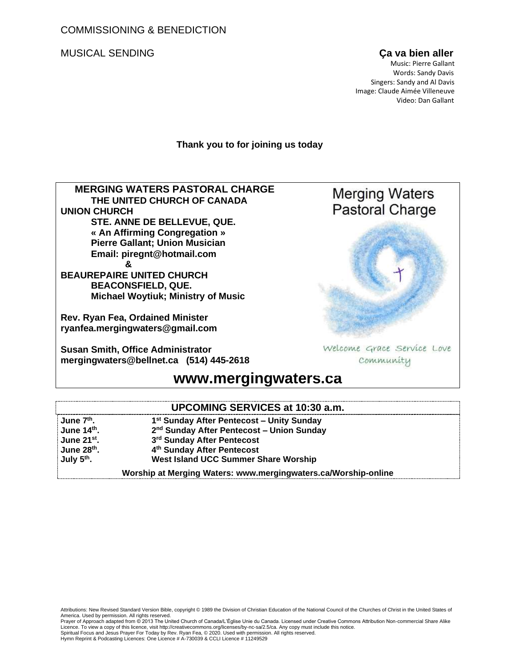COMMISSIONING & BENEDICTION

MUSICAL SENDING **Ça va bien aller**

 Music: Pierre Gallant Words: Sandy Davis Singers: Sandy and Al Davis Image: Claude Aimée Villeneuve Video: Dan Gallant

### **Thank you to for joining us today**

 **MERGING WATERS PASTORAL CHARGE THE UNITED CHURCH OF CANADA UNION CHURCH STE. ANNE DE BELLEVUE, QUE. « An Affirming Congregation » Pierre Gallant; Union Musician Email: [piregnt@hotmail.com](mailto:piregnt@hotmail.com) & BEAUREPAIRE UNITED CHURCH**

**BEACONSFIELD, QUE. Michael Woytiuk; Ministry of Music**

**Rev. Ryan Fea, Ordained Minister [ryanfea.mergingwaters@gmail.com](mailto:ryanfea.mergingwaters@gmail.com)** 

**Susan Smith, Office Administrator [mergingwaters@bellnet.ca](mailto:mergingwaters@bellnet.ca) (514) 445-2618**

# **Merging Waters Pastoral Charge**



Welcome Grace Service Love Community

# **[www.mergingwaters.ca](http://www.mergingwaters.ca/)**

| <b>UPCOMING SERVICES at 10:30 a.m.</b> |
|----------------------------------------|
|----------------------------------------|

| June 7 <sup>th</sup> .  | 1 <sup>st</sup> Sunday After Pentecost - Unity Sunday          |
|-------------------------|----------------------------------------------------------------|
| June 14th.              | 2 <sup>nd</sup> Sunday After Pentecost – Union Sunday          |
| June 21 <sup>st</sup> . | 3rd Sunday After Pentecost                                     |
| June 28th.              | 4th Sunday After Pentecost                                     |
| July 5 <sup>th</sup> .  | West Island UCC Summer Share Worship                           |
|                         | Worship at Merging Waters: www.mergingwaters.ca/Worship-online |

Attributions: New Revised Standard Version Bible, copyright © 1989 the Division of Christian Education of the National Council of the Churches of Christ in the United States of America. Used by permission. All rights reserved.

Prayer of Approach adapted from © 2013 The United Church of Canada/L'Église Unie du Canada. Licensed under Creative Commons Attribution Non-commercial Share Alike<br>Licence. To view a copy of this licence, visit http://crea

Spiritual Focus and Jesus Prayer For Today by Rev. Ryan Fea, © 2020. Used with permission. All rights reserved.<br>Hymn Reprint & Podcasting Licences: One Licence # A-730039 & CCLI Licence # 11249529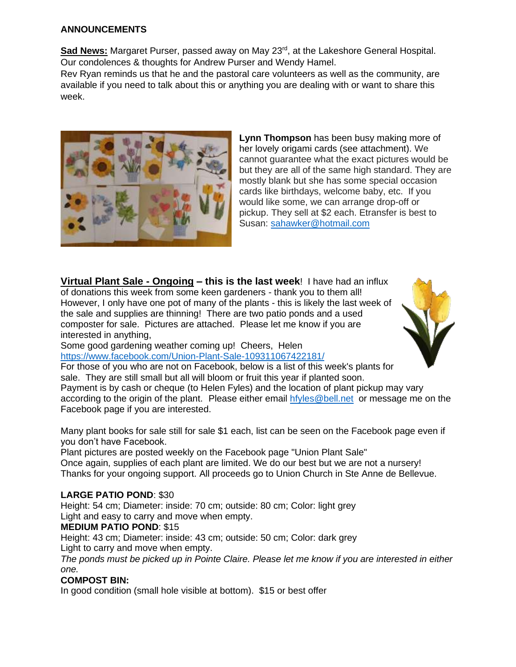### **ANNOUNCEMENTS**

**Sad News:** Margaret Purser, passed away on May 23rd, at the Lakeshore General Hospital. Our condolences & thoughts for Andrew Purser and Wendy Hamel.

Rev Ryan reminds us that he and the pastoral care volunteers as well as the community, are available if you need to talk about this or anything you are dealing with or want to share this week.



**Lynn Thompson** has been busy making more of her lovely origami cards (see attachment). We cannot guarantee what the exact pictures would be but they are all of the same high standard. They are mostly blank but she has some special occasion cards like birthdays, welcome baby, etc. If you would like some, we can arrange drop-off or pickup. They sell at \$2 each. Etransfer is best to Susan: [sahawker@hotmail.com](mailto:sahawker@hotmail.com)

**Virtual Plant Sale - Ongoing – this is the last week**! I have had an influx of donations this week from some keen gardeners - thank you to them all! However, I only have one pot of many of the plants - this is likely the last week of the sale and supplies are thinning! There are two patio ponds and a used composter for sale. Pictures are attached. Please let me know if you are interested in anything,



Some good gardening weather coming up! Cheers, Helen <https://www.facebook.com/Union-Plant-Sale-109311067422181/>

For those of you who are not on Facebook, below is a list of this week's plants for sale. They are still small but all will bloom or fruit this year if planted soon. Payment is by cash or cheque (to Helen Fyles) and the location of plant pickup may vary according to the origin of the plant. Please either email [hfyles@bell.net](mailto:hfyles@bell.net) or message me on the Facebook page if you are interested.

Many plant books for sale still for sale \$1 each, list can be seen on the Facebook page even if you don't have Facebook.

Plant pictures are posted weekly on the Facebook page "Union Plant Sale" Once again, supplies of each plant are limited. We do our best but we are not a nursery! Thanks for your ongoing support. All proceeds go to Union Church in Ste Anne de Bellevue.

### **LARGE PATIO POND**: \$30

Height: 54 cm; Diameter: inside: 70 cm; outside: 80 cm; Color: light grey Light and easy to carry and move when empty.

### **MEDIUM PATIO POND**: \$15

Height: 43 cm; Diameter: inside: 43 cm; outside: 50 cm; Color: dark grey Light to carry and move when empty.

*The ponds must be picked up in Pointe Claire. Please let me know if you are interested in either one.*

### **COMPOST BIN:**

In good condition (small hole visible at bottom). \$15 or best offer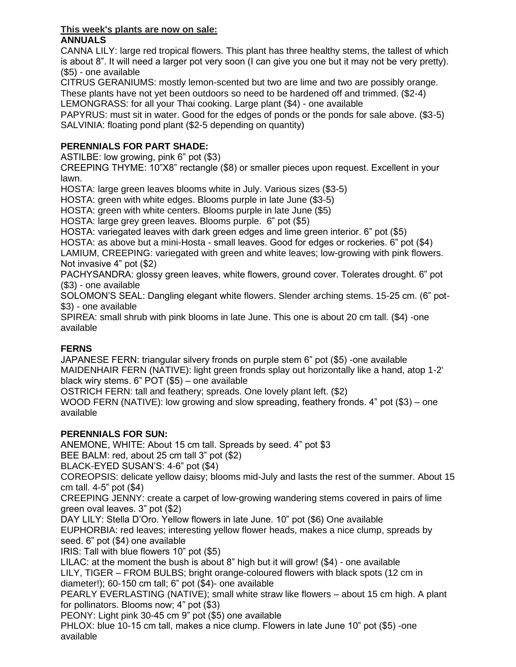### **This week's plants are now on sale: ANNUALS**

CANNA LILY: large red tropical flowers. This plant has three healthy stems, the tallest of which is about 8". It will need a larger pot very soon (I can give you one but it may not be very pretty). (\$5) - one available

CITRUS GERANIUMS: mostly lemon-scented but two are lime and two are possibly orange. These plants have not yet been outdoors so need to be hardened off and trimmed. (\$2-4)

LEMONGRASS: for all your Thai cooking. Large plant (\$4) - one available

PAPYRUS: must sit in water. Good for the edges of ponds or the ponds for sale above. (\$3-5) SALVINIA: floating pond plant (\$2-5 depending on quantity)

## **PERENNIALS FOR PART SHADE:**

ASTILBE: low growing, pink 6" pot (\$3)

CREEPING THYME: 10"X8" rectangle (\$8) or smaller pieces upon request. Excellent in your lawn.

HOSTA: large green leaves blooms white in July. Various sizes (\$3-5)

HOSTA: green with white edges. Blooms purple in late June (\$3-5)

HOSTA: green with white centers. Blooms purple in late June (\$5)

HOSTA: large grey green leaves. Blooms purple. 6" pot (\$5)

HOSTA: variegated leaves with dark green edges and lime green interior. 6" pot (\$5)

HOSTA: as above but a mini-Hosta - small leaves. Good for edges or rockeries. 6" pot (\$4)

LAMIUM, CREEPING: variegated with green and white leaves; low-growing with pink flowers. Not invasive 4" pot (\$2)

PACHYSANDRA: glossy green leaves, white flowers, ground cover. Tolerates drought. 6" pot (\$3) - one available

SOLOMON'S SEAL: Dangling elegant white flowers. Slender arching stems. 15-25 cm. (6" pot- \$3) - one available

SPIREA: small shrub with pink blooms in late June. This one is about 20 cm tall. (\$4) -one available

## **FERNS**

JAPANESE FERN: triangular silvery fronds on purple stem 6" pot (\$5) -one available MAIDENHAIR FERN (NATIVE): light green fronds splay out horizontally like a hand, atop 1-2' black wiry stems. 6" POT (\$5) – one available

OSTRICH FERN: tall and feathery; spreads. One lovely plant left. (\$2)

WOOD FERN (NATIVE): low growing and slow spreading, feathery fronds. 4" pot (\$3) – one available

## **PERENNIALS FOR SUN:**

ANEMONE, WHITE: About 15 cm tall. Spreads by seed. 4" pot \$3

BEE BALM: red, about 25 cm tall 3" pot (\$2)

BLACK-EYED SUSAN'S: 4-6" pot (\$4)

COREOPSIS: delicate yellow daisy; blooms mid-July and lasts the rest of the summer. About 15 cm tall. 4-5" pot (\$4)

CREEPING JENNY: create a carpet of low-growing wandering stems covered in pairs of lime green oval leaves. 3" pot (\$2)

DAY LILY: Stella D'Oro. Yellow flowers in late June. 10" pot (\$6) One available

EUPHORBIA: red leaves; interesting yellow flower heads, makes a nice clump, spreads by seed. 6" pot (\$4) one available

IRIS: Tall with blue flowers 10" pot (\$5)

LILAC: at the moment the bush is about 8" high but it will grow! (\$4) - one available LILY, TIGER – FROM BULBS; bright orange-coloured flowers with black spots (12 cm in diameter!); 60-150 cm tall; 6" pot (\$4)- one available

PEARLY EVERLASTING (NATIVE); small white straw like flowers – about 15 cm high. A plant for pollinators. Blooms now; 4" pot (\$3)

PEONY: Light pink 30-45 cm 9" pot (\$5) one available

PHLOX: blue 10-15 cm tall, makes a nice clump. Flowers in late June 10" pot (\$5) -one available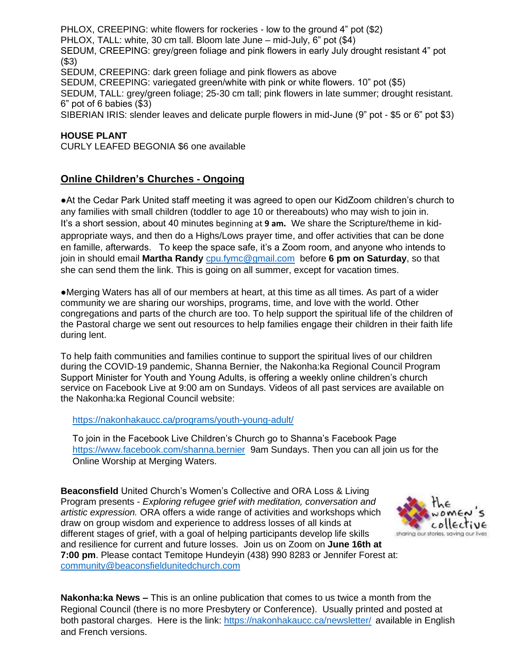PHLOX, CREEPING: white flowers for rockeries - low to the ground 4" pot (\$2) PHLOX, TALL: white, 30 cm tall. Bloom late June – mid-July, 6" pot (\$4) SEDUM, CREEPING: grey/green foliage and pink flowers in early July drought resistant 4" pot (\$3) SEDUM, CREEPING: dark green foliage and pink flowers as above SEDUM, CREEPING: variegated green/white with pink or white flowers. 10" pot (\$5) SEDUM, TALL: grey/green foliage; 25-30 cm tall; pink flowers in late summer; drought resistant. 6" pot of 6 babies (\$3)

SIBERIAN IRIS: slender leaves and delicate purple flowers in mid-June (9" pot - \$5 or 6" pot \$3)

### **HOUSE PLANT**

CURLY LEAFED BEGONIA \$6 one available

### **Online Children's Churches - Ongoing**

●At the Cedar Park United staff meeting it was agreed to open our KidZoom children's church to any families with small children (toddler to age 10 or thereabouts) who may wish to join in. It's a short session, about 40 minutes beginning at **9 am.** We share the Scripture/theme in kidappropriate ways, and then do a Highs/Lows prayer time, and offer activities that can be done en famille, afterwards. To keep the space safe, it's a Zoom room, and anyone who intends to join in should email **Martha Randy** [cpu.fymc@gmail.com](mailto:cpu.fymc@gmail.com) before **6 pm on Saturday**, so that she can send them the link. This is going on all summer, except for vacation times.

●Merging Waters has all of our members at heart, at this time as all times. As part of a wider community we are sharing our worships, programs, time, and love with the world. Other congregations and parts of the church are too. To help support the spiritual life of the children of the Pastoral charge we sent out resources to help families engage their children in their faith life during lent.

To help faith communities and families continue to support the spiritual lives of our children during the COVID-19 pandemic, Shanna Bernier, the Nakonha:ka Regional Council Program Support Minister for Youth and Young Adults, is offering a weekly online children's church service on Facebook Live at 9:00 am on Sundays. Videos of all past services are available on the Nakonha:ka Regional Council website:

### <https://nakonhakaucc.ca/programs/youth-young-adult/>

To join in the Facebook Live Children's Church go to Shanna's Facebook Page <https://www.facebook.com/shanna.bernier>9am Sundays. Then you can all join us for the Online Worship at Merging Waters.

**Beaconsfield** United Church's Women's Collective and ORA Loss & Living Program presents - *Exploring refugee grief with meditation, conversation and artistic expression.* ORA offers a wide range of activities and workshops which draw on group wisdom and experience to address losses of all kinds at different stages of grief, with a goal of helping participants develop life skills and resilience for current and future losses. Join us on Zoom on **June 16th at 7:00 pm**. Please contact Temitope Hundeyin (438) 990 8283 or Jennifer Forest at: [community@beaconsfieldunitedchurch.com](mailto:community@beaconsfieldunitedchurch.com)



**Nakonha:ka News –** This is an online publication that comes to us twice a month from the Regional Council (there is no more Presbytery or Conference). Usually printed and posted at both pastoral charges. Here is the link:<https://nakonhakaucc.ca/newsletter/> available in English and French versions.